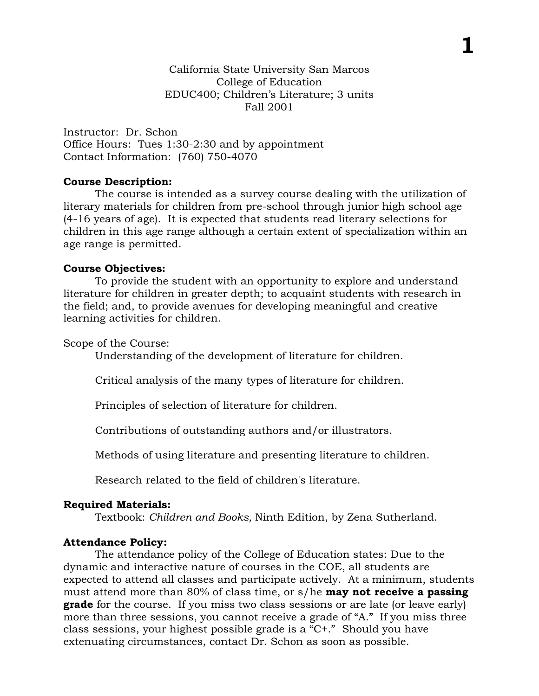**1**

Instructor: Dr. Schon Office Hours: Tues 1:30-2:30 and by appointment Contact Information: (760) 750-4070

## **Course Description:**

The course is intended as a survey course dealing with the utilization of literary materials for children from pre-school through junior high school age (4-16 years of age). It is expected that students read literary selections for children in this age range although a certain extent of specialization within an age range is permitted.

## **Course Objectives:**

To provide the student with an opportunity to explore and understand literature for children in greater depth; to acquaint students with research in the field; and, to provide avenues for developing meaningful and creative learning activities for children.

Scope of the Course:

Understanding of the development of literature for children.

Critical analysis of the many types of literature for children.

Principles of selection of literature for children.

Contributions of outstanding authors and/or illustrators.

Methods of using literature and presenting literature to children.

Research related to the field of children's literature.

# **Required Materials:**

Textbook: *Children and Books,* Ninth Edition, by Zena Sutherland.

# **Attendance Policy:**

The attendance policy of the College of Education states: Due to the dynamic and interactive nature of courses in the COE, all students are expected to attend all classes and participate actively. At a minimum, students must attend more than 80% of class time, or s/he **may not receive a passing grade** for the course. If you miss two class sessions or are late (or leave early) more than three sessions, you cannot receive a grade of "A." If you miss three class sessions, your highest possible grade is a "C+." Should you have extenuating circumstances, contact Dr. Schon as soon as possible.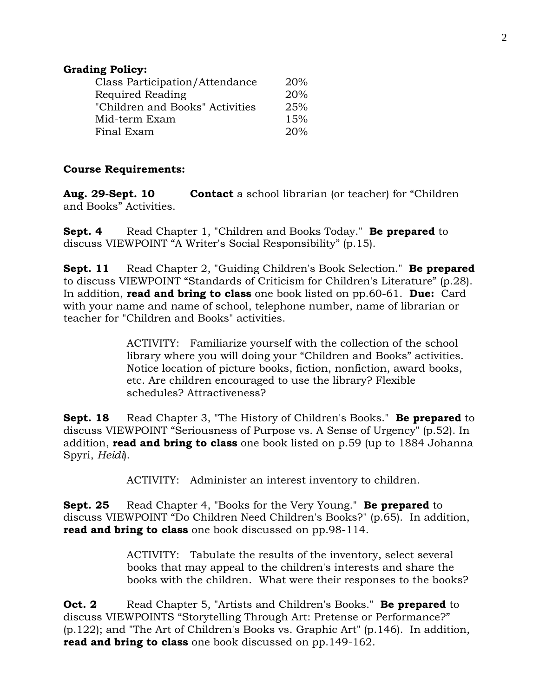## **Grading Policy:**

| Class Participation/Attendance  | 20% |
|---------------------------------|-----|
| Required Reading                | 20% |
| "Children and Books" Activities | 25% |
| Mid-term Exam                   | 15% |
| Final Exam                      | 20% |

## **Course Requirements:**

**Aug. 29-Sept. 10 Contact** a school librarian (or teacher) for "Children and Books" Activities.

**Sept. 4** Read Chapter 1, "Children and Books Today." **Be prepared** to discuss VIEWPOINT "A Writer's Social Responsibility" (p.15).

**Sept. 11** Read Chapter 2, "Guiding Children's Book Selection." **Be prepared** to discuss VIEWPOINT "Standards of Criticism for Children's Literature" (p.28). In addition, **read and bring to class** one book listed on pp.60-61. **Due:** Card with your name and name of school, telephone number, name of librarian or teacher for "Children and Books" activities.

> ACTIVITY: Familiarize yourself with the collection of the school library where you will doing your "Children and Books" activities. Notice location of picture books, fiction, nonfiction, award books, etc. Are children encouraged to use the library? Flexible schedules? Attractiveness?

**Sept. 18** Read Chapter 3, "The History of Children's Books." **Be prepared** to discuss VIEWPOINT "Seriousness of Purpose vs. A Sense of Urgency" (p.52). In addition, **read and bring to class** one book listed on p.59 (up to 1884 Johanna Spyri, *Heidi*).

ACTIVITY: Administer an interest inventory to children.

**Sept. 25** Read Chapter 4, "Books for the Very Young." **Be prepared** to discuss VIEWPOINT "Do Children Need Children's Books?" (p.65). In addition, **read and bring to class** one book discussed on pp.98-114.

> ACTIVITY: Tabulate the results of the inventory, select several books that may appeal to the children's interests and share the books with the children. What were their responses to the books?

**Oct. 2** Read Chapter 5, "Artists and Children's Books." **Be prepared** to discuss VIEWPOINTS "Storytelling Through Art: Pretense or Performance?" (p.122); and "The Art of Children's Books vs. Graphic Art" (p.146). In addition, **read and bring to class** one book discussed on pp.149-162.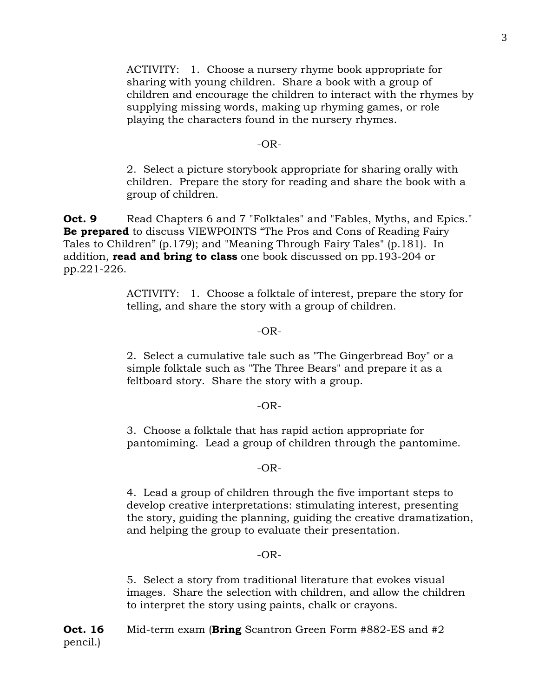ACTIVITY: 1. Choose a nursery rhyme book appropriate for sharing with young children. Share a book with a group of children and encourage the children to interact with the rhymes by supplying missing words, making up rhyming games, or role playing the characters found in the nursery rhymes.

### $-OR-$

2. Select a picture storybook appropriate for sharing orally with children. Prepare the story for reading and share the book with a group of children.

**Oct. 9** Read Chapters 6 and 7 "Folktales" and "Fables, Myths, and Epics." **Be prepared** to discuss VIEWPOINTS "The Pros and Cons of Reading Fairy Tales to Children" (p.179); and "Meaning Through Fairy Tales" (p.181). In addition, **read and bring to class** one book discussed on pp.193-204 or pp.221-226.

> ACTIVITY: 1. Choose a folktale of interest, prepare the story for telling, and share the story with a group of children.

## -OR-

2. Select a cumulative tale such as "The Gingerbread Boy" or a simple folktale such as "The Three Bears" and prepare it as a feltboard story. Share the story with a group.

#### -OR-

3. Choose a folktale that has rapid action appropriate for pantomiming. Lead a group of children through the pantomime.

#### $-OR-$

4. Lead a group of children through the five important steps to develop creative interpretations: stimulating interest, presenting the story, guiding the planning, guiding the creative dramatization, and helping the group to evaluate their presentation.

#### -OR-

5. Select a story from traditional literature that evokes visual images. Share the selection with children, and allow the children to interpret the story using paints, chalk or crayons.

**Oct. 16** Mid-term exam (**Bring** Scantron Green Form #882-ES and #2 pencil.)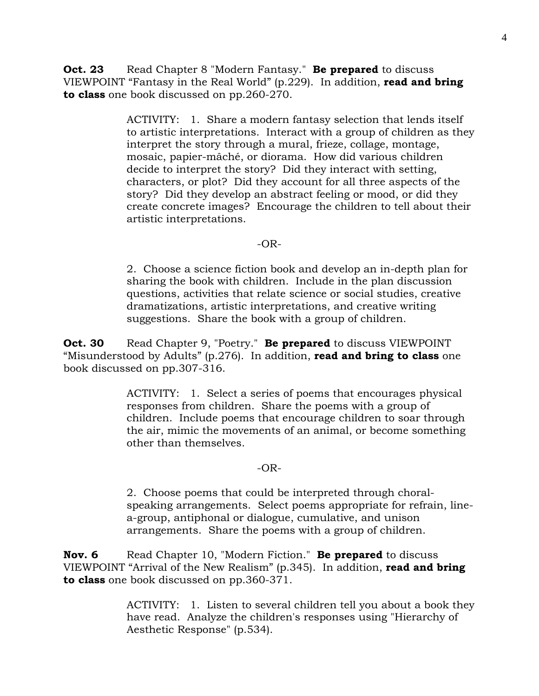**Oct. 23** Read Chapter 8 "Modern Fantasy." **Be prepared** to discuss VIEWPOINT "Fantasy in the Real World" (p.229). In addition, **read and bring to class** one book discussed on pp.260-270.

> ACTIVITY: 1. Share a modern fantasy selection that lends itself to artistic interpretations. Interact with a group of children as they interpret the story through a mural, frieze, collage, montage, mosaic, papier-mâché, or diorama. How did various children decide to interpret the story? Did they interact with setting, characters, or plot? Did they account for all three aspects of the story? Did they develop an abstract feeling or mood, or did they create concrete images? Encourage the children to tell about their artistic interpretations.

#### -OR-

2. Choose a science fiction book and develop an in-depth plan for sharing the book with children. Include in the plan discussion questions, activities that relate science or social studies, creative dramatizations, artistic interpretations, and creative writing suggestions. Share the book with a group of children.

**Oct. 30** Read Chapter 9, "Poetry." **Be prepared** to discuss VIEWPOINT "Misunderstood by Adults" (p.276). In addition, **read and bring to class** one book discussed on pp.307-316.

> ACTIVITY: 1. Select a series of poems that encourages physical responses from children. Share the poems with a group of children. Include poems that encourage children to soar through the air, mimic the movements of an animal, or become something other than themselves.

#### $-OR-$

2. Choose poems that could be interpreted through choralspeaking arrangements. Select poems appropriate for refrain, linea-group, antiphonal or dialogue, cumulative, and unison arrangements. Share the poems with a group of children.

**Nov. 6** Read Chapter 10, "Modern Fiction." **Be prepared** to discuss VIEWPOINT "Arrival of the New Realism" (p.345). In addition, **read and bring to class** one book discussed on pp.360-371.

> ACTIVITY: 1. Listen to several children tell you about a book they have read. Analyze the children's responses using "Hierarchy of Aesthetic Response" (p.534).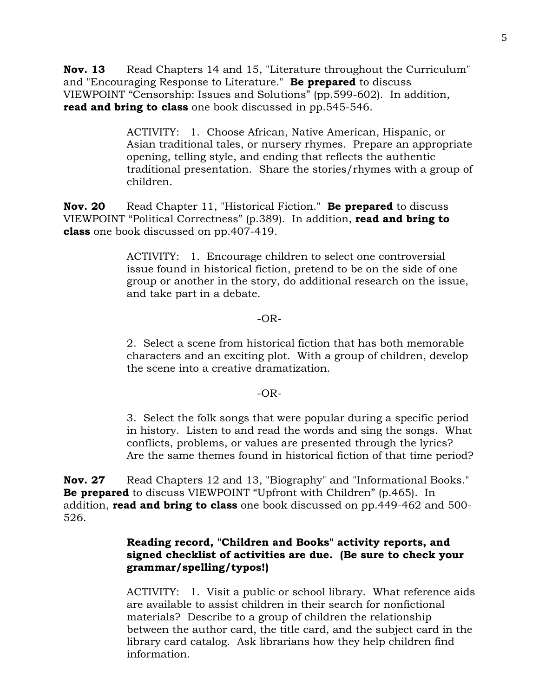**Nov. 13** Read Chapters 14 and 15, "Literature throughout the Curriculum" and "Encouraging Response to Literature." **Be prepared** to discuss VIEWPOINT "Censorship: Issues and Solutions" (pp.599-602). In addition, **read and bring to class** one book discussed in pp.545-546.

> ACTIVITY: 1. Choose African, Native American, Hispanic, or Asian traditional tales, or nursery rhymes. Prepare an appropriate opening, telling style, and ending that reflects the authentic traditional presentation. Share the stories/rhymes with a group of children.

**Nov. 20** Read Chapter 11, "Historical Fiction." **Be prepared** to discuss VIEWPOINT "Political Correctness" (p.389). In addition, **read and bring to class** one book discussed on pp.407-419.

> ACTIVITY: 1. Encourage children to select one controversial issue found in historical fiction, pretend to be on the side of one group or another in the story, do additional research on the issue, and take part in a debate.

## -OR-

2. Select a scene from historical fiction that has both memorable characters and an exciting plot. With a group of children, develop the scene into a creative dramatization.

## -OR-

3. Select the folk songs that were popular during a specific period in history. Listen to and read the words and sing the songs. What conflicts, problems, or values are presented through the lyrics? Are the same themes found in historical fiction of that time period?

**Nov. 27** Read Chapters 12 and 13, "Biography" and "Informational Books." **Be prepared** to discuss VIEWPOINT "Upfront with Children" (p.465). In addition, **read and bring to class** one book discussed on pp.449-462 and 500- 526.

## **Reading record, "Children and Books" activity reports, and signed checklist of activities are due. (Be sure to check your grammar/spelling/typos!)**

ACTIVITY: 1. Visit a public or school library. What reference aids are available to assist children in their search for nonfictional materials? Describe to a group of children the relationship between the author card, the title card, and the subject card in the library card catalog. Ask librarians how they help children find information.